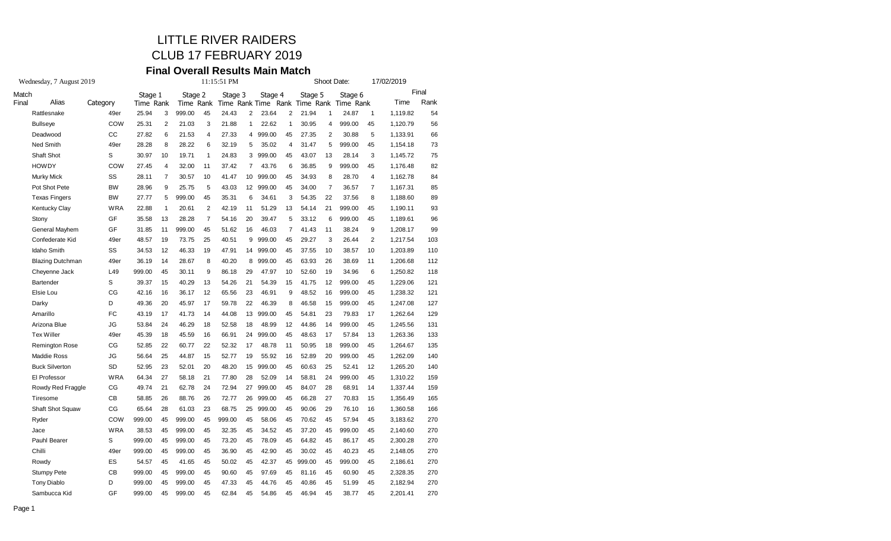# LITTLE RIVER RAIDERS

### CLUB 17 FEBRUARY 2019

#### **Final Overall Results Main Match**

| Stage 1<br>Time Rank<br>49er<br>25.94<br>COW<br>25.31<br>27.82<br>49er<br>28.28<br>30.97<br>COW<br>27.45<br>28.11<br>28.96<br>27.77<br><b>WRA</b><br>22.88<br>35.58<br>31.85<br>48.57<br>49er<br>34.53<br>36.19<br>49er<br>999.00<br>39.37<br>42.16<br>49.36<br>43.19<br>53.84<br>49er<br>45.39 | 3<br>2<br>6<br>8<br>10<br>$\overline{4}$<br>7<br>9<br>5<br>1<br>13<br>11<br>19<br>12<br>14<br>45<br>15<br>16<br>20<br>17<br>24 | Stage 2<br>Time Rank<br>999.00<br>21.03<br>21.53<br>28.22<br>19.71<br>32.00<br>30.57<br>25.75<br>999.00<br>20.61<br>28.28<br>999.00<br>73.75<br>46.33<br>28.67<br>30.11<br>40.29<br>36.17<br>45.97<br>41.73 | 45<br>3<br>4<br>6<br>$\mathbf{1}$<br>11<br>10<br>5<br>45<br>$\overline{2}$<br>$\overline{7}$<br>45<br>25<br>19<br>8<br>9<br>13<br>12<br>17<br>14 | Stage 3<br>24.43<br>21.88<br>27.33<br>32.19<br>24.83<br>37.42<br>41.47<br>43.03<br>35.31<br>42.19<br>54.16<br>51.62<br>40.51<br>47.91<br>40.20<br>86.18<br>54.26<br>65.56<br>59.78<br>44.08 | 2<br>1<br>4<br>5<br>3<br>7<br>10<br>6<br>11<br>20<br>16<br>9<br>14<br>8<br>29<br>21<br>23<br>22 | Stage 4<br>Time Rank Time Rank Time Rank<br>23.64<br>22.62<br>999.00<br>35.02<br>999.00<br>43.76<br>999.00<br>12 999.00<br>34.61<br>51.29<br>39.47<br>46.03<br>999.00<br>999.00<br>999.00<br>47.97<br>54.39<br>46.91<br>46.39 | 2<br>1<br>45<br>4<br>45<br>6<br>45<br>45<br>3<br>13<br>5<br>7<br>45<br>45<br>45<br>10<br>15<br>9 | Stage 5<br>21.94<br>30.95<br>27.35<br>31.47<br>43.07<br>36.85<br>34.93<br>34.00<br>54.35<br>54.14<br>33.12<br>41.43<br>29.27<br>37.55<br>63.93<br>52.60<br>41.75<br>48.52 | 1<br>4<br>$\overline{c}$<br>5<br>13<br>9<br>8<br>$\overline{7}$<br>22<br>21<br>6<br>11<br>3<br>10<br>26<br>19<br>12<br>16 | Stage 6<br>Time Rank<br>24.87<br>999.00<br>30.88<br>999.00<br>28.14<br>999.00<br>28.70<br>36.57<br>37.56<br>999.00<br>999.00<br>38.24<br>26.44<br>38.57<br>38.69<br>34.96<br>999.00<br>999.00 | 1<br>45<br>5<br>45<br>3<br>45<br>4<br>$\overline{7}$<br>8<br>45<br>45<br>9<br>$\overline{\mathbf{c}}$<br>10<br>11<br>6<br>45<br>45 | Time<br>1,119.82<br>1,120.79<br>1,133.91<br>1,154.18<br>1,145.72<br>1,176.48<br>1,162.78<br>1,167.31<br>1,188.60<br>1,190.11<br>1,189.61<br>1,208.17<br>1,217.54<br>1,203.89<br>1,206.68<br>1,250.82<br>1,229.06 | Final<br>Rank<br>54<br>56<br>66<br>73<br>75<br>82<br>84<br>85<br>89<br>93<br>96<br>99<br>103<br>110<br>112<br>118<br>121 |
|-------------------------------------------------------------------------------------------------------------------------------------------------------------------------------------------------------------------------------------------------------------------------------------------------|--------------------------------------------------------------------------------------------------------------------------------|-------------------------------------------------------------------------------------------------------------------------------------------------------------------------------------------------------------|--------------------------------------------------------------------------------------------------------------------------------------------------|---------------------------------------------------------------------------------------------------------------------------------------------------------------------------------------------|-------------------------------------------------------------------------------------------------|-------------------------------------------------------------------------------------------------------------------------------------------------------------------------------------------------------------------------------|--------------------------------------------------------------------------------------------------|---------------------------------------------------------------------------------------------------------------------------------------------------------------------------|---------------------------------------------------------------------------------------------------------------------------|-----------------------------------------------------------------------------------------------------------------------------------------------------------------------------------------------|------------------------------------------------------------------------------------------------------------------------------------|------------------------------------------------------------------------------------------------------------------------------------------------------------------------------------------------------------------|--------------------------------------------------------------------------------------------------------------------------|
|                                                                                                                                                                                                                                                                                                 |                                                                                                                                |                                                                                                                                                                                                             |                                                                                                                                                  |                                                                                                                                                                                             |                                                                                                 |                                                                                                                                                                                                                               |                                                                                                  |                                                                                                                                                                           |                                                                                                                           |                                                                                                                                                                                               |                                                                                                                                    |                                                                                                                                                                                                                  |                                                                                                                          |
|                                                                                                                                                                                                                                                                                                 |                                                                                                                                |                                                                                                                                                                                                             |                                                                                                                                                  |                                                                                                                                                                                             |                                                                                                 |                                                                                                                                                                                                                               |                                                                                                  |                                                                                                                                                                           |                                                                                                                           |                                                                                                                                                                                               |                                                                                                                                    |                                                                                                                                                                                                                  |                                                                                                                          |
|                                                                                                                                                                                                                                                                                                 |                                                                                                                                |                                                                                                                                                                                                             |                                                                                                                                                  |                                                                                                                                                                                             |                                                                                                 |                                                                                                                                                                                                                               |                                                                                                  |                                                                                                                                                                           |                                                                                                                           |                                                                                                                                                                                               |                                                                                                                                    |                                                                                                                                                                                                                  |                                                                                                                          |
|                                                                                                                                                                                                                                                                                                 |                                                                                                                                |                                                                                                                                                                                                             |                                                                                                                                                  |                                                                                                                                                                                             |                                                                                                 |                                                                                                                                                                                                                               |                                                                                                  |                                                                                                                                                                           |                                                                                                                           |                                                                                                                                                                                               |                                                                                                                                    |                                                                                                                                                                                                                  |                                                                                                                          |
|                                                                                                                                                                                                                                                                                                 |                                                                                                                                |                                                                                                                                                                                                             |                                                                                                                                                  |                                                                                                                                                                                             |                                                                                                 |                                                                                                                                                                                                                               |                                                                                                  |                                                                                                                                                                           |                                                                                                                           |                                                                                                                                                                                               |                                                                                                                                    |                                                                                                                                                                                                                  |                                                                                                                          |
|                                                                                                                                                                                                                                                                                                 |                                                                                                                                |                                                                                                                                                                                                             |                                                                                                                                                  |                                                                                                                                                                                             |                                                                                                 |                                                                                                                                                                                                                               |                                                                                                  |                                                                                                                                                                           |                                                                                                                           |                                                                                                                                                                                               |                                                                                                                                    |                                                                                                                                                                                                                  |                                                                                                                          |
|                                                                                                                                                                                                                                                                                                 |                                                                                                                                |                                                                                                                                                                                                             |                                                                                                                                                  |                                                                                                                                                                                             |                                                                                                 |                                                                                                                                                                                                                               |                                                                                                  |                                                                                                                                                                           |                                                                                                                           |                                                                                                                                                                                               |                                                                                                                                    |                                                                                                                                                                                                                  |                                                                                                                          |
|                                                                                                                                                                                                                                                                                                 |                                                                                                                                |                                                                                                                                                                                                             |                                                                                                                                                  |                                                                                                                                                                                             |                                                                                                 |                                                                                                                                                                                                                               |                                                                                                  |                                                                                                                                                                           |                                                                                                                           |                                                                                                                                                                                               |                                                                                                                                    |                                                                                                                                                                                                                  |                                                                                                                          |
|                                                                                                                                                                                                                                                                                                 |                                                                                                                                |                                                                                                                                                                                                             |                                                                                                                                                  |                                                                                                                                                                                             |                                                                                                 |                                                                                                                                                                                                                               |                                                                                                  |                                                                                                                                                                           |                                                                                                                           |                                                                                                                                                                                               |                                                                                                                                    |                                                                                                                                                                                                                  |                                                                                                                          |
|                                                                                                                                                                                                                                                                                                 |                                                                                                                                |                                                                                                                                                                                                             |                                                                                                                                                  |                                                                                                                                                                                             |                                                                                                 |                                                                                                                                                                                                                               |                                                                                                  |                                                                                                                                                                           |                                                                                                                           |                                                                                                                                                                                               |                                                                                                                                    |                                                                                                                                                                                                                  |                                                                                                                          |
|                                                                                                                                                                                                                                                                                                 |                                                                                                                                |                                                                                                                                                                                                             |                                                                                                                                                  |                                                                                                                                                                                             |                                                                                                 |                                                                                                                                                                                                                               |                                                                                                  |                                                                                                                                                                           |                                                                                                                           |                                                                                                                                                                                               |                                                                                                                                    |                                                                                                                                                                                                                  |                                                                                                                          |
|                                                                                                                                                                                                                                                                                                 |                                                                                                                                |                                                                                                                                                                                                             |                                                                                                                                                  |                                                                                                                                                                                             |                                                                                                 |                                                                                                                                                                                                                               |                                                                                                  |                                                                                                                                                                           |                                                                                                                           |                                                                                                                                                                                               |                                                                                                                                    |                                                                                                                                                                                                                  |                                                                                                                          |
|                                                                                                                                                                                                                                                                                                 |                                                                                                                                |                                                                                                                                                                                                             |                                                                                                                                                  |                                                                                                                                                                                             |                                                                                                 |                                                                                                                                                                                                                               |                                                                                                  |                                                                                                                                                                           |                                                                                                                           |                                                                                                                                                                                               |                                                                                                                                    |                                                                                                                                                                                                                  |                                                                                                                          |
|                                                                                                                                                                                                                                                                                                 |                                                                                                                                |                                                                                                                                                                                                             |                                                                                                                                                  |                                                                                                                                                                                             |                                                                                                 |                                                                                                                                                                                                                               |                                                                                                  |                                                                                                                                                                           |                                                                                                                           |                                                                                                                                                                                               |                                                                                                                                    |                                                                                                                                                                                                                  |                                                                                                                          |
|                                                                                                                                                                                                                                                                                                 |                                                                                                                                |                                                                                                                                                                                                             |                                                                                                                                                  |                                                                                                                                                                                             |                                                                                                 |                                                                                                                                                                                                                               |                                                                                                  |                                                                                                                                                                           |                                                                                                                           |                                                                                                                                                                                               |                                                                                                                                    |                                                                                                                                                                                                                  |                                                                                                                          |
|                                                                                                                                                                                                                                                                                                 |                                                                                                                                |                                                                                                                                                                                                             |                                                                                                                                                  |                                                                                                                                                                                             |                                                                                                 |                                                                                                                                                                                                                               |                                                                                                  |                                                                                                                                                                           |                                                                                                                           |                                                                                                                                                                                               |                                                                                                                                    |                                                                                                                                                                                                                  |                                                                                                                          |
|                                                                                                                                                                                                                                                                                                 |                                                                                                                                |                                                                                                                                                                                                             |                                                                                                                                                  |                                                                                                                                                                                             |                                                                                                 |                                                                                                                                                                                                                               |                                                                                                  |                                                                                                                                                                           |                                                                                                                           |                                                                                                                                                                                               |                                                                                                                                    |                                                                                                                                                                                                                  |                                                                                                                          |
|                                                                                                                                                                                                                                                                                                 |                                                                                                                                |                                                                                                                                                                                                             |                                                                                                                                                  |                                                                                                                                                                                             |                                                                                                 |                                                                                                                                                                                                                               |                                                                                                  |                                                                                                                                                                           |                                                                                                                           |                                                                                                                                                                                               |                                                                                                                                    |                                                                                                                                                                                                                  |                                                                                                                          |
|                                                                                                                                                                                                                                                                                                 |                                                                                                                                |                                                                                                                                                                                                             |                                                                                                                                                  |                                                                                                                                                                                             |                                                                                                 |                                                                                                                                                                                                                               |                                                                                                  |                                                                                                                                                                           |                                                                                                                           |                                                                                                                                                                                               |                                                                                                                                    |                                                                                                                                                                                                                  |                                                                                                                          |
|                                                                                                                                                                                                                                                                                                 |                                                                                                                                |                                                                                                                                                                                                             |                                                                                                                                                  |                                                                                                                                                                                             |                                                                                                 |                                                                                                                                                                                                                               |                                                                                                  |                                                                                                                                                                           |                                                                                                                           |                                                                                                                                                                                               |                                                                                                                                    | 1,238.32                                                                                                                                                                                                         | 121                                                                                                                      |
|                                                                                                                                                                                                                                                                                                 |                                                                                                                                |                                                                                                                                                                                                             |                                                                                                                                                  |                                                                                                                                                                                             |                                                                                                 |                                                                                                                                                                                                                               | 8                                                                                                | 46.58                                                                                                                                                                     | 15                                                                                                                        | 999.00                                                                                                                                                                                        | 45                                                                                                                                 | 1,247.08                                                                                                                                                                                                         | 127                                                                                                                      |
|                                                                                                                                                                                                                                                                                                 |                                                                                                                                |                                                                                                                                                                                                             |                                                                                                                                                  |                                                                                                                                                                                             | 13                                                                                              | 999.00                                                                                                                                                                                                                        | 45                                                                                               | 54.81                                                                                                                                                                     | 23                                                                                                                        | 79.83                                                                                                                                                                                         | 17                                                                                                                                 | 1,262.64                                                                                                                                                                                                         | 129                                                                                                                      |
|                                                                                                                                                                                                                                                                                                 |                                                                                                                                | 46.29                                                                                                                                                                                                       | 18                                                                                                                                               | 52.58                                                                                                                                                                                       | 18                                                                                              | 48.99                                                                                                                                                                                                                         | 12                                                                                               | 44.86                                                                                                                                                                     | 14                                                                                                                        | 999.00                                                                                                                                                                                        | 45                                                                                                                                 | 1,245.56                                                                                                                                                                                                         | 131                                                                                                                      |
|                                                                                                                                                                                                                                                                                                 | 18                                                                                                                             | 45.59                                                                                                                                                                                                       | 16                                                                                                                                               | 66.91                                                                                                                                                                                       | 24                                                                                              | 999.00                                                                                                                                                                                                                        | 45                                                                                               | 48.63                                                                                                                                                                     | 17                                                                                                                        | 57.84                                                                                                                                                                                         | 13                                                                                                                                 | 1,263.36                                                                                                                                                                                                         | 133                                                                                                                      |
| 52.85                                                                                                                                                                                                                                                                                           | 22                                                                                                                             | 60.77                                                                                                                                                                                                       | 22                                                                                                                                               | 52.32                                                                                                                                                                                       | 17                                                                                              | 48.78                                                                                                                                                                                                                         | 11                                                                                               | 50.95                                                                                                                                                                     | 18                                                                                                                        | 999.00                                                                                                                                                                                        | 45                                                                                                                                 | 1,264.67                                                                                                                                                                                                         | 135                                                                                                                      |
| 56.64                                                                                                                                                                                                                                                                                           | 25                                                                                                                             | 44.87                                                                                                                                                                                                       | 15                                                                                                                                               | 52.77                                                                                                                                                                                       | 19                                                                                              | 55.92                                                                                                                                                                                                                         | 16                                                                                               | 52.89                                                                                                                                                                     | 20                                                                                                                        | 999.00                                                                                                                                                                                        | 45                                                                                                                                 | 1,262.09                                                                                                                                                                                                         | 140                                                                                                                      |
| 52.95                                                                                                                                                                                                                                                                                           | 23                                                                                                                             | 52.01                                                                                                                                                                                                       | 20                                                                                                                                               | 48.20                                                                                                                                                                                       | 15                                                                                              | 999.00                                                                                                                                                                                                                        | 45                                                                                               | 60.63                                                                                                                                                                     | 25                                                                                                                        | 52.41                                                                                                                                                                                         | 12                                                                                                                                 | 1,265.20                                                                                                                                                                                                         | 140                                                                                                                      |
| 64.34                                                                                                                                                                                                                                                                                           | 27                                                                                                                             | 58.18                                                                                                                                                                                                       | 21                                                                                                                                               | 77.80                                                                                                                                                                                       | 28                                                                                              | 52.09                                                                                                                                                                                                                         | 14                                                                                               | 58.81                                                                                                                                                                     | 24                                                                                                                        | 999.00                                                                                                                                                                                        | 45                                                                                                                                 | 1,310.22                                                                                                                                                                                                         | 159                                                                                                                      |
| 49.74                                                                                                                                                                                                                                                                                           | 21                                                                                                                             | 62.78                                                                                                                                                                                                       | 24                                                                                                                                               | 72.94                                                                                                                                                                                       | 27                                                                                              | 999.00                                                                                                                                                                                                                        | 45                                                                                               | 84.07                                                                                                                                                                     | 28                                                                                                                        | 68.91                                                                                                                                                                                         | 14                                                                                                                                 | 1,337.44                                                                                                                                                                                                         | 159                                                                                                                      |
| 58.85                                                                                                                                                                                                                                                                                           | 26                                                                                                                             | 88.76                                                                                                                                                                                                       | 26                                                                                                                                               | 72.77                                                                                                                                                                                       | 26                                                                                              | 999.00                                                                                                                                                                                                                        | 45                                                                                               | 66.28                                                                                                                                                                     | 27                                                                                                                        | 70.83                                                                                                                                                                                         | 15                                                                                                                                 | 1,356.49                                                                                                                                                                                                         | 165                                                                                                                      |
| 65.64                                                                                                                                                                                                                                                                                           | 28                                                                                                                             | 61.03                                                                                                                                                                                                       | 23                                                                                                                                               | 68.75                                                                                                                                                                                       | 25                                                                                              | 999.00                                                                                                                                                                                                                        | 45                                                                                               | 90.06                                                                                                                                                                     | 29                                                                                                                        | 76.10                                                                                                                                                                                         | 16                                                                                                                                 | 1,360.58                                                                                                                                                                                                         | 166                                                                                                                      |
| 999.00                                                                                                                                                                                                                                                                                          | 45                                                                                                                             | 999.00                                                                                                                                                                                                      | 45                                                                                                                                               | 999.00                                                                                                                                                                                      | 45                                                                                              | 58.06                                                                                                                                                                                                                         | 45                                                                                               | 70.62                                                                                                                                                                     | 45                                                                                                                        | 57.94                                                                                                                                                                                         | 45                                                                                                                                 | 3,183.62                                                                                                                                                                                                         | 270                                                                                                                      |
| 38.53                                                                                                                                                                                                                                                                                           | 45                                                                                                                             | 999.00                                                                                                                                                                                                      | 45                                                                                                                                               | 32.35                                                                                                                                                                                       | 45                                                                                              | 34.52                                                                                                                                                                                                                         | 45                                                                                               | 37.20                                                                                                                                                                     | 45                                                                                                                        | 999.00                                                                                                                                                                                        | 45                                                                                                                                 | 2,140.60                                                                                                                                                                                                         | 270                                                                                                                      |
| 999.00                                                                                                                                                                                                                                                                                          | 45                                                                                                                             | 999.00                                                                                                                                                                                                      | 45                                                                                                                                               | 73.20                                                                                                                                                                                       | 45                                                                                              | 78.09                                                                                                                                                                                                                         | 45                                                                                               | 64.82                                                                                                                                                                     | 45                                                                                                                        | 86.17                                                                                                                                                                                         | 45                                                                                                                                 | 2,300.28                                                                                                                                                                                                         | 270                                                                                                                      |
| 999.00                                                                                                                                                                                                                                                                                          | 45                                                                                                                             | 999.00                                                                                                                                                                                                      | 45                                                                                                                                               | 36.90                                                                                                                                                                                       | 45                                                                                              | 42.90                                                                                                                                                                                                                         | 45                                                                                               | 30.02                                                                                                                                                                     | 45                                                                                                                        | 40.23                                                                                                                                                                                         | 45                                                                                                                                 | 2,148.05                                                                                                                                                                                                         | 270                                                                                                                      |
| 54.57                                                                                                                                                                                                                                                                                           | 45                                                                                                                             | 41.65                                                                                                                                                                                                       | 45                                                                                                                                               | 50.02                                                                                                                                                                                       | 45                                                                                              | 42.37                                                                                                                                                                                                                         | 45                                                                                               | 999.00                                                                                                                                                                    | 45                                                                                                                        | 999.00                                                                                                                                                                                        | 45                                                                                                                                 | 2,186.61                                                                                                                                                                                                         | 270                                                                                                                      |
| 999.00                                                                                                                                                                                                                                                                                          | 45                                                                                                                             | 999.00                                                                                                                                                                                                      | 45                                                                                                                                               | 90.60                                                                                                                                                                                       | 45                                                                                              | 97.69                                                                                                                                                                                                                         | 45                                                                                               | 81.16                                                                                                                                                                     | 45                                                                                                                        | 60.90                                                                                                                                                                                         | 45                                                                                                                                 | 2,328.35                                                                                                                                                                                                         | 270                                                                                                                      |
| 999.00                                                                                                                                                                                                                                                                                          | 45                                                                                                                             | 999.00                                                                                                                                                                                                      | 45                                                                                                                                               | 47.33                                                                                                                                                                                       | 45                                                                                              | 44.76                                                                                                                                                                                                                         | 45                                                                                               | 40.86                                                                                                                                                                     | 45                                                                                                                        | 51.99                                                                                                                                                                                         | 45                                                                                                                                 | 2,182.94                                                                                                                                                                                                         | 270                                                                                                                      |
| 999.00                                                                                                                                                                                                                                                                                          | 45                                                                                                                             | 999.00                                                                                                                                                                                                      | 45                                                                                                                                               | 62.84                                                                                                                                                                                       | 45                                                                                              | 54.86                                                                                                                                                                                                                         | 45                                                                                               | 46.94                                                                                                                                                                     | 45                                                                                                                        | 38.77                                                                                                                                                                                         | 45                                                                                                                                 | 2,201.41                                                                                                                                                                                                         | 270                                                                                                                      |
|                                                                                                                                                                                                                                                                                                 | <b>WRA</b><br>COW<br><b>WRA</b><br>49er                                                                                        |                                                                                                                                                                                                             |                                                                                                                                                  |                                                                                                                                                                                             |                                                                                                 |                                                                                                                                                                                                                               |                                                                                                  |                                                                                                                                                                           |                                                                                                                           |                                                                                                                                                                                               |                                                                                                                                    |                                                                                                                                                                                                                  |                                                                                                                          |